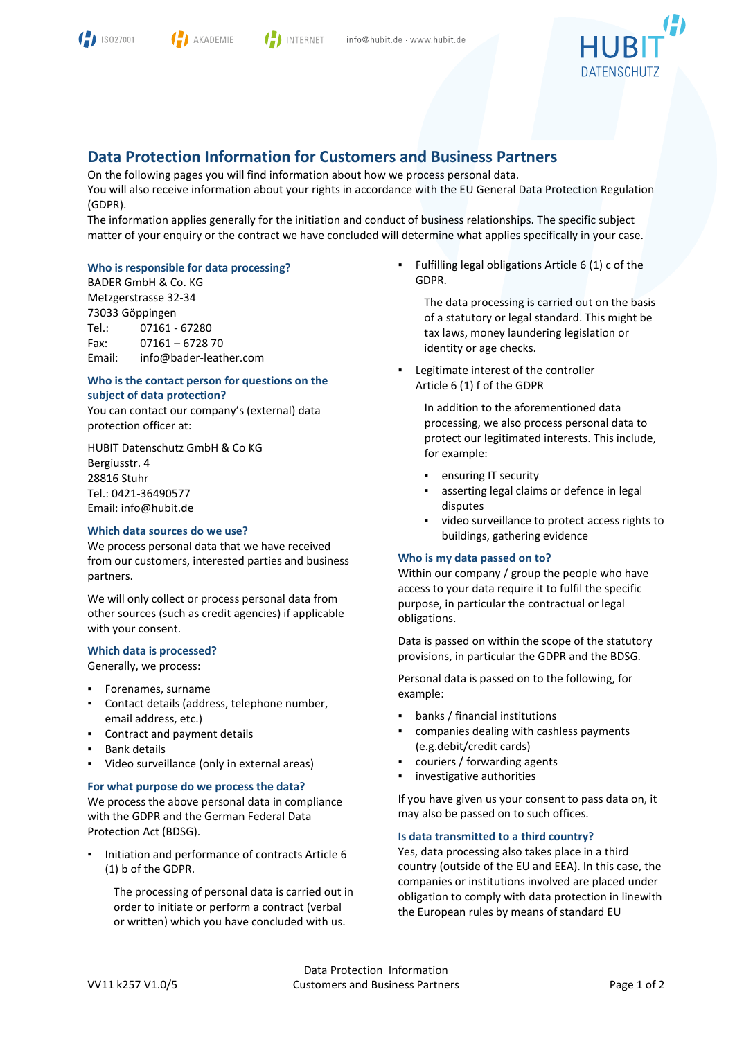



**INTERNET** 



# **Data Protection Information for Customers and Business Partners**

On the following pages you will find information about how we process personal data. You will also receive information about your rights in accordance with the EU General Data Protection Regulation (GDPR).

The information applies generally for the initiation and conduct of business relationships. The specific subject matter of your enquiry or the contract we have concluded will determine what applies specifically in your case.

## **Who is responsible for data processing?**

BADER GmbH & Co. KG Metzgerstrasse 32-34 73033 Göppingen Tel.: 07161 - 67280 Fax: 07161 – 6728 70 Email: info@bader-leather.com

### **Who is the contact person for questions on the subject of data protection?**

You can contact our company's (external) data protection officer at:

HUBIT Datenschutz GmbH & Co KG Bergiusstr. 4 28816 Stuhr Tel.: 0421-36490577 Email: info@hubit.de

### **Which data sources do we use?**

We process personal data that we have received from our customers, interested parties and business partners.

We will only collect or process personal data from other sources (such as credit agencies) if applicable with your consent.

### **Which data is processed?**

Generally, we process:

- Forenames, surname
- Contact details (address, telephone number, email address, etc.)
- Contract and payment details
- **Bank details**
- Video surveillance (only in external areas)

#### **For what purpose do we process the data?**

We process the above personal data in compliance with the GDPR and the German Federal Data Protection Act (BDSG).

Initiation and performance of contracts Article 6 (1) b of the GDPR.

The processing of personal data is carried out in order to initiate or perform a contract (verbal or written) which you have concluded with us.

▪ Fulfilling legal obligations Article 6 (1) c of the GDPR.

> The data processing is carried out on the basis of a statutory or legal standard. This might be tax laws, money laundering legislation or identity or age checks.

Legitimate interest of the controller Article 6 (1) f of the GDPR

In addition to the aforementioned data processing, we also process personal data to protect our legitimated interests. This include, for example:

- ensuring IT security
- asserting legal claims or defence in legal disputes
- video surveillance to protect access rights to buildings, gathering evidence

### **Who is my data passed on to?**

Within our company / group the people who have access to your data require it to fulfil the specific purpose, in particular the contractual or legal obligations.

Data is passed on within the scope of the statutory provisions, in particular the GDPR and the BDSG.

Personal data is passed on to the following, for example:

- banks / financial institutions
- companies dealing with cashless payments (e.g.debit/credit cards)
- couriers / forwarding agents
- investigative authorities

If you have given us your consent to pass data on, it may also be passed on to such offices.

### **Is data transmitted to a third country?**

Yes, data processing also takes place in a third country (outside of the EU and EEA). In this case, the companies or institutions involved are placed under obligation to comply with data protection in linewith the European rules by means of standard EU